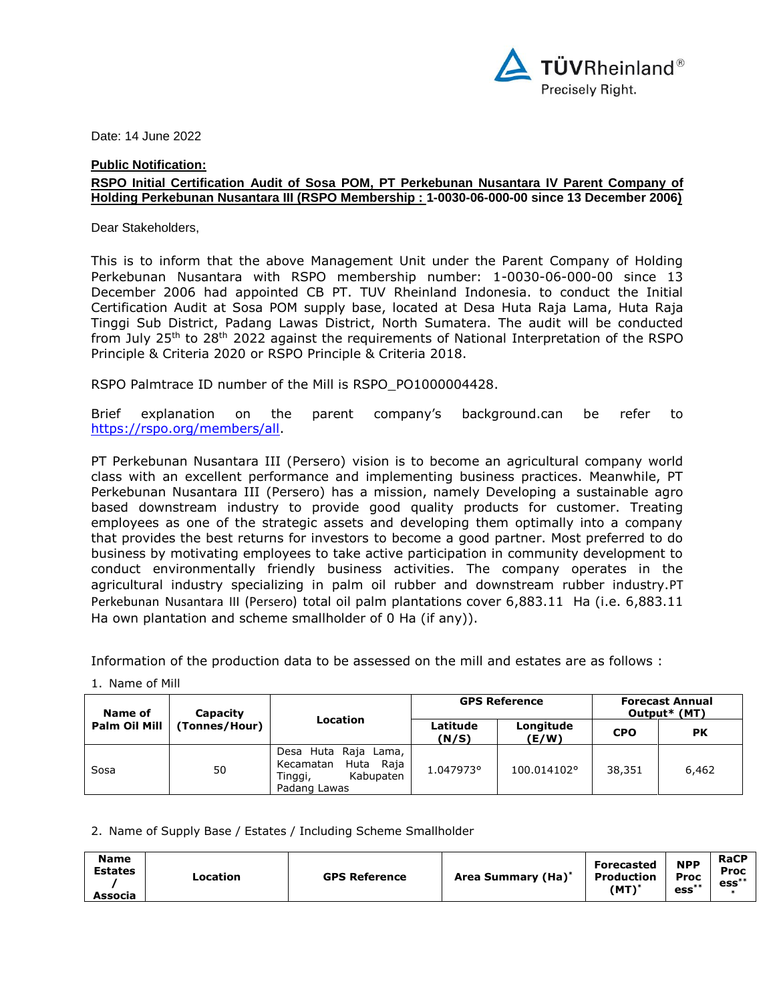

Date: 14 June 2022

## **Public Notification:**

## **RSPO Initial Certification Audit of Sosa POM, PT Perkebunan Nusantara IV Parent Company of Holding Perkebunan Nusantara III (RSPO Membership : 1-0030-06-000-00 since 13 December 2006)**

Dear Stakeholders,

This is to inform that the above Management Unit under the Parent Company of Holding Perkebunan Nusantara with RSPO membership number: 1-0030-06-000-00 since 13 December 2006 had appointed CB PT. TUV Rheinland Indonesia. to conduct the Initial Certification Audit at Sosa POM supply base, located at Desa Huta Raja Lama, Huta Raja Tinggi Sub District, Padang Lawas District, North Sumatera. The audit will be conducted from July 25<sup>th</sup> to 28<sup>th</sup> 2022 against the requirements of National Interpretation of the RSPO Principle & Criteria 2020 or RSPO Principle & Criteria 2018.

RSPO Palmtrace ID number of the Mill is RSPO\_PO1000004428.

Brief explanation on the parent company's background.can be refer to [https://rspo.org/members/all.](https://rspo.org/members/all)

PT Perkebunan Nusantara III (Persero) vision is to become an agricultural company world class with an excellent performance and implementing business practices. Meanwhile, PT Perkebunan Nusantara III (Persero) has a mission, namely Developing a sustainable agro based downstream industry to provide good quality products for customer. Treating employees as one of the strategic assets and developing them optimally into a company that provides the best returns for investors to become a good partner. Most preferred to do business by motivating employees to take active participation in community development to conduct environmentally friendly business activities. The company operates in the agricultural industry specializing in palm oil rubber and downstream rubber industry.PT Perkebunan Nusantara III (Persero) total oil palm plantations cover 6,883.11 Ha (i.e. 6,883.11 Ha own plantation and scheme smallholder of 0 Ha (if any)).

Information of the production data to be assessed on the mill and estates are as follows :

| Name of                        | Capacity | Location                                                                                     |                   | <b>GPS Reference</b> | <b>Forecast Annual</b><br>Output* (MT) |       |
|--------------------------------|----------|----------------------------------------------------------------------------------------------|-------------------|----------------------|----------------------------------------|-------|
| Palm Oil Mill<br>(Tonnes/Hour) |          |                                                                                              | Latitude<br>(N/S) | Longitude<br>(E/W)   | <b>CPO</b>                             | PK    |
| Sosa                           | 50       | Desa Huta Raja<br>Lama,<br>Huta<br>Raja<br>Kecamatan<br>Tinggi,<br>Kabupaten<br>Padang Lawas | 1.047973°         | 100.014102°          | 38,351                                 | 6,462 |

1. Name of Mill

2. Name of Supply Base / Estates / Including Scheme Smallholder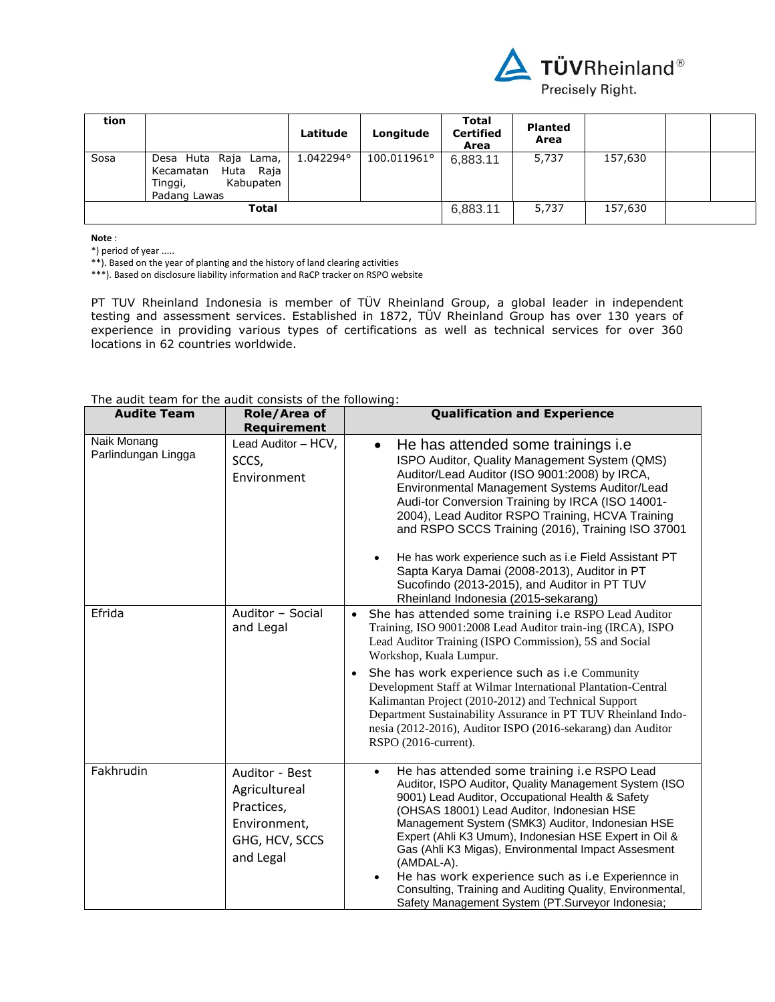

| tion |                                                                                              | Latitude  | Longitude   | Total<br><b>Certified</b><br>Area | <b>Planted</b><br>Area |         |  |
|------|----------------------------------------------------------------------------------------------|-----------|-------------|-----------------------------------|------------------------|---------|--|
| Sosa | Raja Lama,<br>Desa Huta<br>Huta<br>Raja<br>Kecamatan<br>Kabupaten<br>Tinggi,<br>Padang Lawas | 1.042294° | 100.011961° | 6,883.11                          | 5,737                  | 157,630 |  |
|      | Total                                                                                        | 6,883.11  | 5,737       | 157,630                           |                        |         |  |

**Note** :

\*) period of year .....

\*\*). Based on the year of planting and the history of land clearing activities

\*\*\*). Based on disclosure liability information and RaCP tracker on RSPO website

PT TUV Rheinland Indonesia is member of TÜV Rheinland Group, a global leader in independent testing and assessment services. Established in 1872, TÜV Rheinland Group has over 130 years of experience in providing various types of certifications as well as technical services for over 360 locations in 62 countries worldwide.

|  |  |  |  |  |  |  |  | The audit team for the audit consists of the following: |
|--|--|--|--|--|--|--|--|---------------------------------------------------------|
|--|--|--|--|--|--|--|--|---------------------------------------------------------|

| <b>Audite Team</b>                 | Role/Area of<br><b>Requirement</b>                                                           | <b>Qualification and Experience</b>                                                                                                                                                                                                                                                                                                                                                                                                                                                                                                                                                      |
|------------------------------------|----------------------------------------------------------------------------------------------|------------------------------------------------------------------------------------------------------------------------------------------------------------------------------------------------------------------------------------------------------------------------------------------------------------------------------------------------------------------------------------------------------------------------------------------------------------------------------------------------------------------------------------------------------------------------------------------|
| Naik Monang<br>Parlindungan Lingga | Lead Auditor - HCV,<br>SCCS,<br>Environment                                                  | He has attended some trainings i.e.<br>$\bullet$<br>ISPO Auditor, Quality Management System (QMS)<br>Auditor/Lead Auditor (ISO 9001:2008) by IRCA,<br>Environmental Management Systems Auditor/Lead<br>Audi-tor Conversion Training by IRCA (ISO 14001-<br>2004), Lead Auditor RSPO Training, HCVA Training<br>and RSPO SCCS Training (2016), Training ISO 37001<br>He has work experience such as i.e Field Assistant PT<br>$\bullet$<br>Sapta Karya Damai (2008-2013), Auditor in PT<br>Sucofindo (2013-2015), and Auditor in PT TUV<br>Rheinland Indonesia (2015-sekarang)            |
| Efrida                             | Auditor - Social<br>and Legal                                                                | She has attended some training i.e RSPO Lead Auditor<br>$\bullet$<br>Training, ISO 9001:2008 Lead Auditor train-ing (IRCA), ISPO<br>Lead Auditor Training (ISPO Commission), 5S and Social<br>Workshop, Kuala Lumpur.<br>She has work experience such as i.e Community<br>Development Staff at Wilmar International Plantation-Central<br>Kalimantan Project (2010-2012) and Technical Support<br>Department Sustainability Assurance in PT TUV Rheinland Indo-<br>nesia (2012-2016), Auditor ISPO (2016-sekarang) dan Auditor<br>RSPO (2016-current).                                   |
| Fakhrudin                          | Auditor - Best<br>Agricultureal<br>Practices,<br>Environment,<br>GHG, HCV, SCCS<br>and Legal | He has attended some training i.e RSPO Lead<br>$\bullet$<br>Auditor, ISPO Auditor, Quality Management System (ISO<br>9001) Lead Auditor, Occupational Health & Safety<br>(OHSAS 18001) Lead Auditor, Indonesian HSE<br>Management System (SMK3) Auditor, Indonesian HSE<br>Expert (Ahli K3 Umum), Indonesian HSE Expert in Oil &<br>Gas (Ahli K3 Migas), Environmental Impact Assesment<br>(AMDAL-A).<br>He has work experience such as i.e Experiennce in<br>$\bullet$<br>Consulting, Training and Auditing Quality, Environmental,<br>Safety Management System (PT.Surveyor Indonesia; |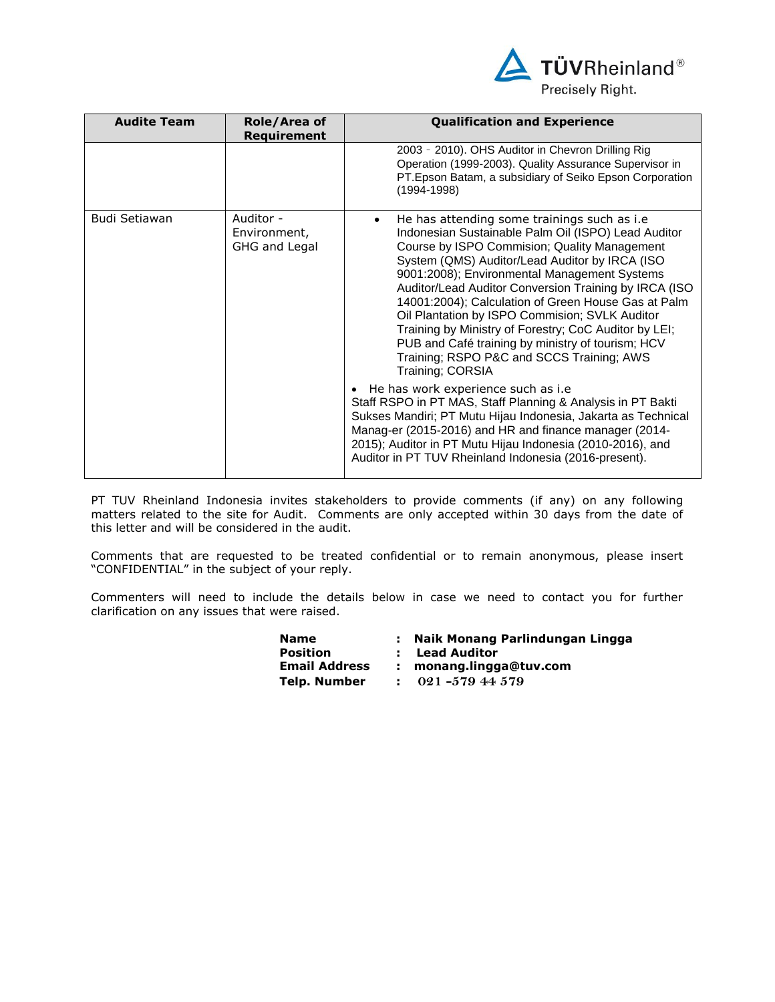

| <b>Audite Team</b> | Role/Area of<br><b>Requirement</b>         | <b>Qualification and Experience</b>                                                                                                                                                                                                                                                                                                                                                                                                                                                                                                                                                                                                                                                                                                                                                      |
|--------------------|--------------------------------------------|------------------------------------------------------------------------------------------------------------------------------------------------------------------------------------------------------------------------------------------------------------------------------------------------------------------------------------------------------------------------------------------------------------------------------------------------------------------------------------------------------------------------------------------------------------------------------------------------------------------------------------------------------------------------------------------------------------------------------------------------------------------------------------------|
|                    |                                            | 2003 - 2010). OHS Auditor in Chevron Drilling Rig<br>Operation (1999-2003). Quality Assurance Supervisor in<br>PT. Epson Batam, a subsidiary of Seiko Epson Corporation<br>$(1994 - 1998)$                                                                                                                                                                                                                                                                                                                                                                                                                                                                                                                                                                                               |
| Budi Setiawan      | Auditor -<br>Environment,<br>GHG and Legal | He has attending some trainings such as i.e<br>$\bullet$<br>Indonesian Sustainable Palm Oil (ISPO) Lead Auditor<br>Course by ISPO Commision; Quality Management<br>System (QMS) Auditor/Lead Auditor by IRCA (ISO<br>9001:2008); Environmental Management Systems<br>Auditor/Lead Auditor Conversion Training by IRCA (ISO<br>14001:2004); Calculation of Green House Gas at Palm<br>Oil Plantation by ISPO Commision; SVLK Auditor<br>Training by Ministry of Forestry; CoC Auditor by LEI;<br>PUB and Café training by ministry of tourism; HCV<br>Training; RSPO P&C and SCCS Training; AWS<br>Training; CORSIA<br>He has work experience such as i.e<br>Staff RSPO in PT MAS, Staff Planning & Analysis in PT Bakti<br>Sukses Mandiri; PT Mutu Hijau Indonesia, Jakarta as Technical |
|                    |                                            | Manag-er (2015-2016) and HR and finance manager (2014-<br>2015); Auditor in PT Mutu Hijau Indonesia (2010-2016), and<br>Auditor in PT TUV Rheinland Indonesia (2016-present).                                                                                                                                                                                                                                                                                                                                                                                                                                                                                                                                                                                                            |

PT TUV Rheinland Indonesia invites stakeholders to provide comments (if any) on any following matters related to the site for Audit. Comments are only accepted within 30 days from the date of this letter and will be considered in the audit.

Comments that are requested to be treated confidential or to remain anonymous, please insert "CONFIDENTIAL" in the subject of your reply.

Commenters will need to include the details below in case we need to contact you for further clarification on any issues that were raised.

| <b>Name</b>          | : Naik Monang Parlindungan Lingga |
|----------------------|-----------------------------------|
| <b>Position</b>      | : Lead Auditor                    |
| <b>Email Address</b> | monang.lingga@tuv.com             |
| Telp. Number         | $021 - 57944579$                  |